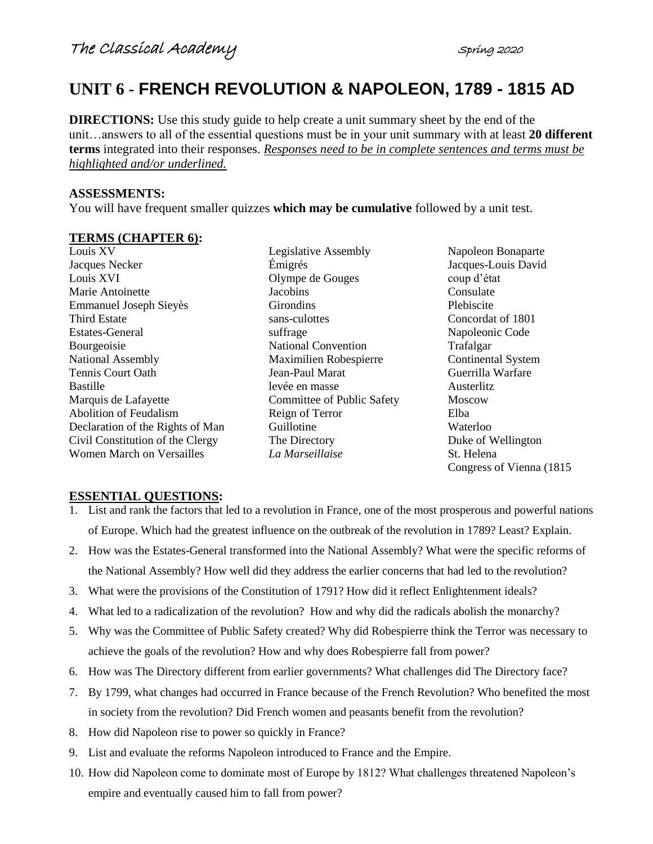# **UNIT 6 - FRENCH REVOLUTION & NAPOLEON, 1789 - 1815 AD**

**DIRECTIONS:** Use this study guide to help create a unit summary sheet by the end of the unit…answers to all of the essential questions must be in your unit summary with at least **20 different terms** integrated into their responses. *Responses need to be in complete sentences and terms must be highlighted and/or underlined.* 

# **ASSESSMENTS:**

You will have frequent smaller quizzes **which may be cumulative** followed by a unit test.

#### **TERMS (CHAPTER 6):**

Louis XV Jacques Necker Louis XVI Marie Antoinette Emmanuel Joseph Sieyès Third Estate Estates-General Bourgeoisie National Assembly Tennis Court Oath Bastille Marquis de Lafayette Abolition of Feudalism Declaration of the Rights of Man Civil Constitution of the Clergy Women March on Versailles

Legislative Assembly Émigrés Olympe de Gouges **Jacobins Girondins** sans-culottes suffrage National Convention Maximilien Robespierre Jean-Paul Marat levée en masse Committee of Public Safety Reign of Terror Guillotine The Directory *La Marseillaise*

Napoleon Bonaparte Jacques-Louis David coup d'état Consulate Plebiscite Concordat of 1801 Napoleonic Code Trafalgar Continental System Guerrilla Warfare Austerlitz Moscow Elba Waterloo Duke of Wellington St. Helena Congress of Vienna (1815

# **ESSENTIAL QUESTIONS:**

- 1. List and rank the factors that led to a revolution in France, one of the most prosperous and powerful nations of Europe. Which had the greatest influence on the outbreak of the revolution in 1789? Least? Explain.
- 2. How was the Estates-General transformed into the National Assembly? What were the specific reforms of the National Assembly? How well did they address the earlier concerns that had led to the revolution?
- 3. What were the provisions of the Constitution of 1791? How did it reflect Enlightenment ideals?
- 4. What led to a radicalization of the revolution? How and why did the radicals abolish the monarchy?
- 5. Why was the Committee of Public Safety created? Why did Robespierre think the Terror was necessary to achieve the goals of the revolution? How and why does Robespierre fall from power?
- 6. How was The Directory different from earlier governments? What challenges did The Directory face?
- 7. By 1799, what changes had occurred in France because of the French Revolution? Who benefited the most in society from the revolution? Did French women and peasants benefit from the revolution?
- 8. How did Napoleon rise to power so quickly in France?
- 9. List and evaluate the reforms Napoleon introduced to France and the Empire.
- 10. How did Napoleon come to dominate most of Europe by 1812? What challenges threatened Napoleon's empire and eventually caused him to fall from power?